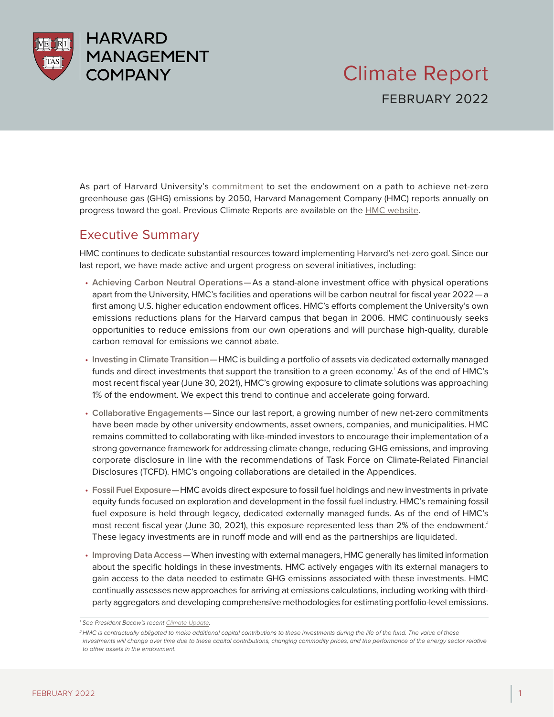

As part of Harvard University's [commitment](https://www.hmc.harvard.edu/content/uploads/2020/04/Net-Zero-Commitment.pdf) to set the endowment on a path to achieve net-zero greenhouse gas (GHG) emissions by 2050, Harvard Management Company (HMC) reports annually on progress toward the goal. Previous Climate Reports are available on the [HMC website.](https://www.hmc.harvard.edu/net-zero/)

# Executive Summary

HMC continues to dedicate substantial resources toward implementing Harvard's net-zero goal. Since our last report, we have made active and urgent progress on several initiatives, including:

- **Achieving Carbon Neutral Operations —**As a stand-alone investment office with physical operations apart from the University, HMC's facilities and operations will be carbon neutral for fiscal year 2022 — a first among U.S. higher education endowment offices. HMC's efforts complement the University's own emissions reductions plans for the Harvard campus that began in 2006. HMC continuously seeks opportunities to reduce emissions from our own operations and will purchase high-quality, durable carbon removal for emissions we cannot abate.
- **Investing in Climate Transition —**HMC is building a portfolio of assets via dedicated externally managed funds and direct investments that support the transition to a green economy.<sup>'</sup> As of the end of HMC's most recent fiscal year (June 30, 2021), HMC's growing exposure to climate solutions was approaching 1% of the endowment. We expect this trend to continue and accelerate going forward.
- **Collaborative Engagements —**Since our last report, a growing number of new net-zero commitments have been made by other university endowments, asset owners, companies, and municipalities. HMC remains committed to collaborating with like-minded investors to encourage their implementation of a strong governance framework for addressing climate change, reducing GHG emissions, and improving corporate disclosure in line with the recommendations of Task Force on Climate-Related Financial Disclosures (TCFD). HMC's ongoing collaborations are detailed in the Appendices.
- **Fossil Fuel Exposure —**HMC avoids direct exposure to fossil fuel holdings and new investments in private equity funds focused on exploration and development in the fossil fuel industry. HMC's remaining fossil fuel exposure is held through legacy, dedicated externally managed funds. As of the end of HMC's most recent fiscal year (June 30, 2021), this exposure represented less than 2% of the endowment.*<sup>2</sup>* These legacy investments are in runoff mode and will end as the partnerships are liquidated.
- **Improving Data Access —**When investing with external managers, HMC generally has limited information about the specific holdings in these investments. HMC actively engages with its external managers to gain access to the data needed to estimate GHG emissions associated with these investments. HMC continually assesses new approaches for arriving at emissions calculations, including working with thirdparty aggregators and developing comprehensive methodologies for estimating portfolio-level emissions.

*<sup>1</sup> See President Bacow's recent [Climate Update](https://www.harvard.edu/president/news/2021/climate-change-update-on-harvard-action/).*

<sup>&</sup>lt;sup>2</sup> HMC is contractually obligated to make additional capital contributions to these investments during the life of the fund. The value of these investments will change over time due to these capital contributions, changing commodity prices, and the performance of the energy sector relative *to other assets in the endowment.*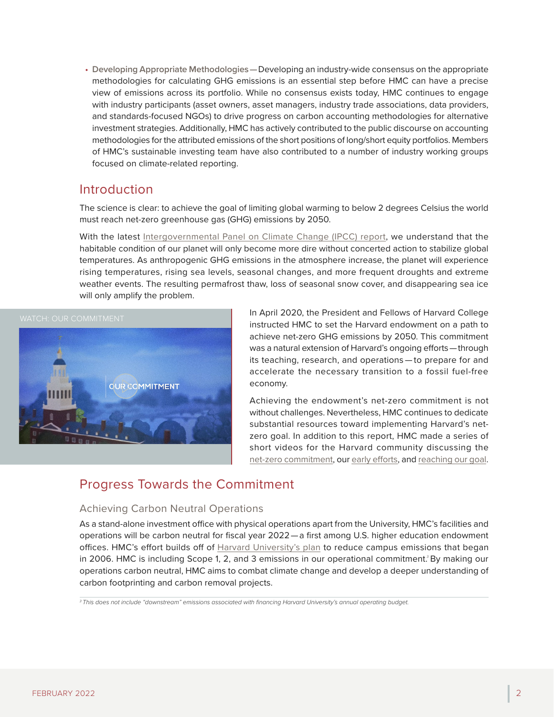• **Developing Appropriate Methodologies —**Developing an industry-wide consensus on the appropriate methodologies for calculating GHG emissions is an essential step before HMC can have a precise view of emissions across its portfolio. While no consensus exists today, HMC continues to engage with industry participants (asset owners, asset managers, industry trade associations, data providers, and standards-focused NGOs) to drive progress on carbon accounting methodologies for alternative investment strategies. Additionally, HMC has actively contributed to the public discourse on accounting methodologies for the attributed emissions of the short positions of long/short equity portfolios. Members of HMC's sustainable investing team have also contributed to a number of industry working groups focused on climate-related reporting.

## Introduction

The science is clear: to achieve the goal of limiting global warming to below 2 degrees Celsius the world must reach net-zero greenhouse gas (GHG) emissions by 2050.

With the latest [Intergovernmental Panel on Climate Change \(IPCC\) report](https://www.ipcc.ch/report/ar6/wg1/), we understand that the habitable condition of our planet will only become more dire without concerted action to stabilize global temperatures. As anthropogenic GHG emissions in the atmosphere increase, the planet will experience rising temperatures, rising sea levels, seasonal changes, and more frequent droughts and extreme weather events. The resulting permafrost thaw, loss of seasonal snow cover, and disappearing sea ice will only amplify the problem.



In April 2020, the President and Fellows of Harvard College instructed HMC to set the Harvard endowment on a path to achieve net-zero GHG emissions by 2050. This commitment was a natural extension of Harvard's ongoing efforts — through its teaching, research, and operations — to prepare for and accelerate the necessary transition to a fossil fuel-free economy.

Achieving the endowment's net-zero commitment is not without challenges. Nevertheless, HMC continues to dedicate substantial resources toward implementing Harvard's netzero goal. In addition to this report, HMC made a series of short videos for the Harvard community discussing the [net-zero commitment,](https://vimeo.com/664801163) our [early efforts,](https://vimeo.com/664893881) and [reaching our goal.](https://vimeo.com/664911957)

# Progress Towards the Commitment

## Achieving Carbon Neutral Operations

As a stand-alone investment office with physical operations apart from the University, HMC's facilities and operations will be carbon neutral for fiscal year 2022 — a first among U.S. higher education endowment offices. HMC's effort builds off of [Harvard University's plan](https://report.green.harvard.edu) to reduce campus emissions that began in 2006. HMC is including Scope 1, 2, and 3 emissions in our operational commitment.*<sup>3</sup>* By making our operations carbon neutral, HMC aims to combat climate change and develop a deeper understanding of carbon footprinting and carbon removal projects.

*3 This does not include "downstream" emissions associated with financing Harvard University's annual operating budget.*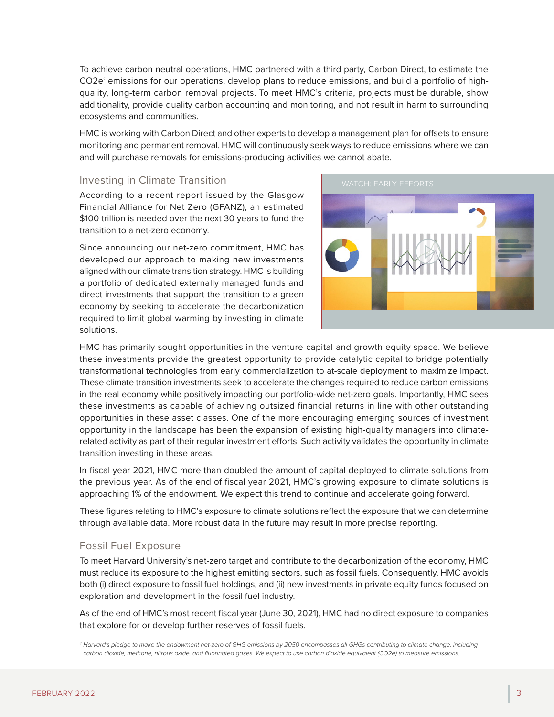FEBRUARY 2022

To achieve carbon neutral operations, HMC partnered with a third party, Carbon Direct, to estimate the CO2e*<sup>4</sup>* emissions for our operations, develop plans to reduce emissions, and build a portfolio of highquality, long-term carbon removal projects. To meet HMC's criteria, projects must be durable, show additionality, provide quality carbon accounting and monitoring, and not result in harm to surrounding ecosystems and communities.

HMC is working with Carbon Direct and other experts to develop a management plan for offsets to ensure monitoring and permanent removal. HMC will continuously seek ways to reduce emissions where we can and will purchase removals for emissions-producing activities we cannot abate.

## Investing in Climate Transition

According to a recent report issued by the Glasgow Financial Alliance for Net Zero (GFANZ), an estimated \$100 trillion is needed over the next 30 years to fund the transition to a net-zero economy.

Since announcing our net-zero commitment, HMC has developed our approach to making new investments aligned with our climate transition strategy. HMC is building a portfolio of dedicated externally managed funds and direct investments that support the transition to a green economy by seeking to accelerate the decarbonization required to limit global warming by investing in climate solutions.

HMC has primarily sought opportunities in the venture capital and growth equity space. We believe these investments provide the greatest opportunity to provide catalytic capital to bridge potentially transformational technologies from early commercialization to at-scale deployment to maximize impact. These climate transition investments seek to accelerate the changes required to reduce carbon emissions in the real economy while positively impacting our portfolio-wide net-zero goals. Importantly, HMC sees these investments as capable of achieving outsized financial returns in line with other outstanding opportunities in these asset classes. One of the more encouraging emerging sources of investment opportunity in the landscape has been the expansion of existing high-quality managers into climaterelated activity as part of their regular investment efforts. Such activity validates the opportunity in climate transition investing in these areas.

In fiscal year 2021, HMC more than doubled the amount of capital deployed to climate solutions from the previous year. As of the end of fiscal year 2021, HMC's growing exposure to climate solutions is approaching 1% of the endowment. We expect this trend to continue and accelerate going forward.

These figures relating to HMC's exposure to climate solutions reflect the exposure that we can determine through available data. More robust data in the future may result in more precise reporting.

## Fossil Fuel Exposure

To meet Harvard University's net-zero target and contribute to the decarbonization of the economy, HMC must reduce its exposure to the highest emitting sectors, such as fossil fuels. Consequently, HMC avoids both (i) direct exposure to fossil fuel holdings, and (ii) new investments in private equity funds focused on exploration and development in the fossil fuel industry.

As of the end of HMC's most recent fiscal year (June 30, 2021), HMC had no direct exposure to companies that explore for or develop further reserves of fossil fuels.



*<sup>4</sup> Harvard's pledge to make the endowment net-zero of GHG emissions by 2050 encompasses all GHGs contributing to climate change, including carbon dioxide, methane, nitrous oxide, and fluorinated gases. We expect to use carbon dioxide equivalent (CO2e) to measure emissions.*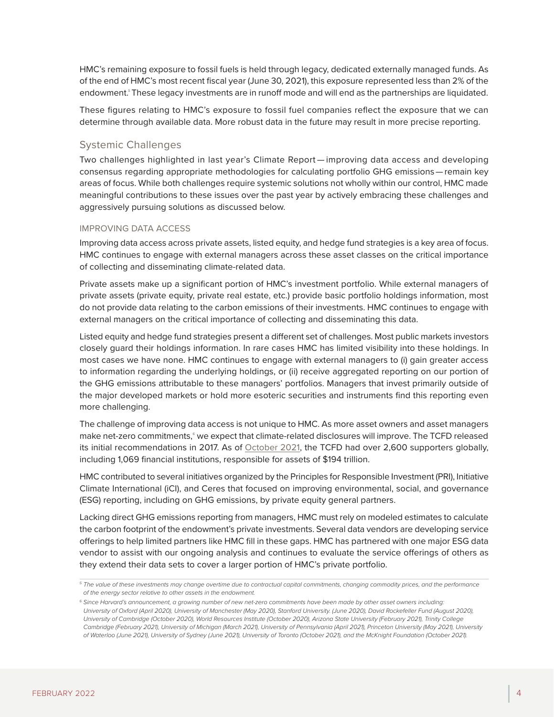HMC's remaining exposure to fossil fuels is held through legacy, dedicated externally managed funds. As of the end of HMC's most recent fiscal year (June 30, 2021), this exposure represented less than 2% of the endowment.*<sup>5</sup>* These legacy investments are in runoff mode and will end as the partnerships are liquidated.

These figures relating to HMC's exposure to fossil fuel companies reflect the exposure that we can determine through available data. More robust data in the future may result in more precise reporting.

## Systemic Challenges

Two challenges highlighted in last year's Climate Report — improving data access and developing consensus regarding appropriate methodologies for calculating portfolio GHG emissions — remain key areas of focus. While both challenges require systemic solutions not wholly within our control, HMC made meaningful contributions to these issues over the past year by actively embracing these challenges and aggressively pursuing solutions as discussed below.

#### IMPROVING DATA ACCESS

Improving data access across private assets, listed equity, and hedge fund strategies is a key area of focus. HMC continues to engage with external managers across these asset classes on the critical importance of collecting and disseminating climate-related data.

Private assets make up a significant portion of HMC's investment portfolio. While external managers of private assets (private equity, private real estate, etc.) provide basic portfolio holdings information, most do not provide data relating to the carbon emissions of their investments. HMC continues to engage with external managers on the critical importance of collecting and disseminating this data.

Listed equity and hedge fund strategies present a different set of challenges. Most public markets investors closely guard their holdings information. In rare cases HMC has limited visibility into these holdings. In most cases we have none. HMC continues to engage with external managers to (i) gain greater access to information regarding the underlying holdings, or (ii) receive aggregated reporting on our portion of the GHG emissions attributable to these managers' portfolios. Managers that invest primarily outside of the major developed markets or hold more esoteric securities and instruments find this reporting even more challenging.

The challenge of improving data access is not unique to HMC. As more asset owners and asset managers make net-zero commitments,<sup>6</sup> we expect that climate-related disclosures will improve. The TCFD released its initial recommendations in 2017. As of [October 2021](https://www.fsb.org/2021/10/2021-status-report-task-force-on-climate-related-financial-disclosures/), the TCFD had over 2,600 supporters globally, including 1,069 financial institutions, responsible for assets of \$194 trillion.

HMC contributed to several initiatives organized by the Principles for Responsible Investment (PRI), Initiative Climate International (iCI), and Ceres that focused on improving environmental, social, and governance (ESG) reporting, including on GHG emissions, by private equity general partners.

Lacking direct GHG emissions reporting from managers, HMC must rely on modeled estimates to calculate the carbon footprint of the endowment's private investments. Several data vendors are developing service offerings to help limited partners like HMC fill in these gaps. HMC has partnered with one major ESG data vendor to assist with our ongoing analysis and continues to evaluate the service offerings of others as they extend their data sets to cover a larger portion of HMC's private portfolio.

*<sup>5</sup> The value of these investments may change overtime due to contractual capital commitments, changing commodity prices, and the performance of the energy sector relative to other assets in the endowment.*

*<sup>6</sup> Since Harvard's announcement, a growing number of new net-zero commitments have been made by other asset owners including: University of Oxford (April 2020), University of Manchester (May 2020), Stanford University. (June 2020), David Rockefeller Fund (August 2020), University of Cambridge (October 2020), World Resources Institute (October 2020), Arizona State University (February 2021), Trinity College Cambridge (February 2021), University of Michigan (March 2021), University of Pennsylvania (April 2021), Princeton University (May 2021), University of Waterloo (June 2021), University of Sydney (June 2021), University of Toronto (October 2021), and the McKnight Foundation (October 2021).*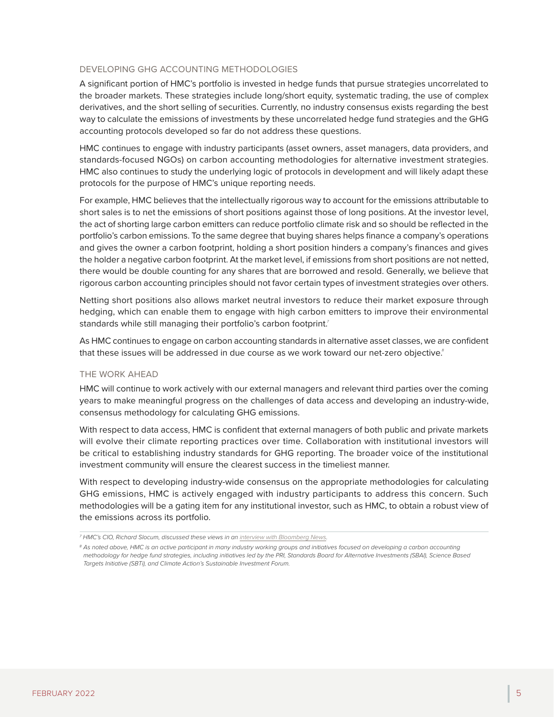#### DEVELOPING GHG ACCOUNTING METHODOLOGIES

A significant portion of HMC's portfolio is invested in hedge funds that pursue strategies uncorrelated to the broader markets. These strategies include long/short equity, systematic trading, the use of complex derivatives, and the short selling of securities. Currently, no industry consensus exists regarding the best way to calculate the emissions of investments by these uncorrelated hedge fund strategies and the GHG accounting protocols developed so far do not address these questions.

HMC continues to engage with industry participants (asset owners, asset managers, data providers, and standards-focused NGOs) on carbon accounting methodologies for alternative investment strategies. HMC also continues to study the underlying logic of protocols in development and will likely adapt these protocols for the purpose of HMC's unique reporting needs.

For example, HMC believes that the intellectually rigorous way to account for the emissions attributable to short sales is to net the emissions of short positions against those of long positions. At the investor level, the act of shorting large carbon emitters can reduce portfolio climate risk and so should be reflected in the portfolio's carbon emissions. To the same degree that buying shares helps finance a company's operations and gives the owner a carbon footprint, holding a short position hinders a company's finances and gives the holder a negative carbon footprint. At the market level, if emissions from short positions are not netted, there would be double counting for any shares that are borrowed and resold. Generally, we believe that rigorous carbon accounting principles should not favor certain types of investment strategies over others.

Netting short positions also allows market neutral investors to reduce their market exposure through hedging, which can enable them to engage with high carbon emitters to improve their environmental standards while still managing their portfolio's carbon footprint.*<sup>7</sup>*

As HMC continues to engage on carbon accounting standards in alternative asset classes, we are confident that these issues will be addressed in due course as we work toward our net-zero objective.*<sup>8</sup>*

#### THE WORK AHEAD

HMC will continue to work actively with our external managers and relevant third parties over the coming years to make meaningful progress on the challenges of data access and developing an industry-wide, consensus methodology for calculating GHG emissions.

With respect to data access, HMC is confident that external managers of both public and private markets will evolve their climate reporting practices over time. Collaboration with institutional investors will be critical to establishing industry standards for GHG reporting. The broader voice of the institutional investment community will ensure the clearest success in the timeliest manner.

With respect to developing industry-wide consensus on the appropriate methodologies for calculating GHG emissions, HMC is actively engaged with industry participants to address this concern. Such methodologies will be a gating item for any institutional investor, such as HMC, to obtain a robust view of the emissions across its portfolio.

*<sup>7</sup> HMC's CIO, Richard Slocum, discussed these views in an [interview with Bloomberg News.](https://www.bloomberg.com/news/articles/2021-06-30/harvard-s-money-manager-has-a-plan-to-turn-short-sellers-against-emitters)*

*<sup>8</sup> As noted above, HMC is an active participant in many industry working groups and initiatives focused on developing a carbon accounting methodology for hedge fund strategies, including initiatives led by the PRI, Standards Board for Alternative Investments (SBAI), Science Based Targets Initiative (SBTi), and Climate Action's Sustainable Investment Forum.*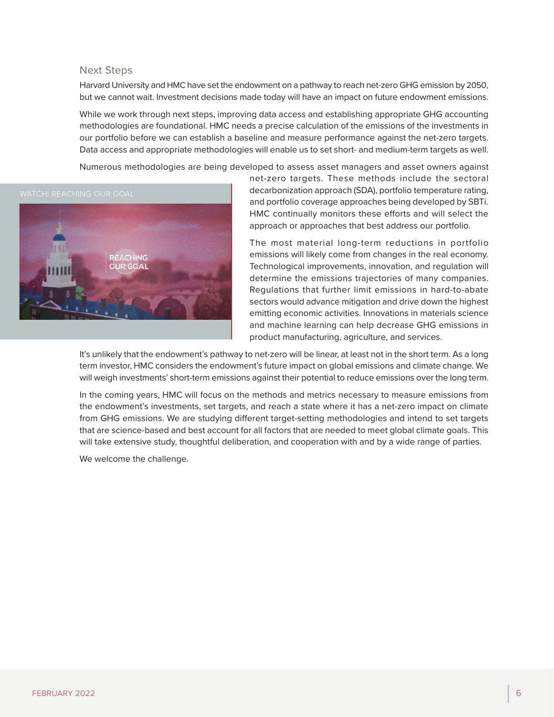#### Next Steps

Harvard University and HMC have set the endowment on a pathway to reach net-zero GHG emission by 2050, but we cannot wait. Investment decisions made today will have an impact on future endowment emissions.

While we work through next steps, improving data access and establishing appropriate GHG accounting methodologies are foundational. HMC needs a precise calculation of the emissions of the investments in our portfolio before we can establish a baseline and measure performance against the net-zero targets. Data access and appropriate methodologies will enable us to set short- and medium-term targets as well.

Numerous methodologies are being developed to assess asset managers and asset owners against



net-zero targets. These methods include the sectoral decarbonization approach (SDA), portfolio temperature rating, and portfolio coverage approaches being developed by SBTi. HMC continually monitors these efforts and will select the approach or approaches that best address our portfolio.

The most material long-term reductions in portfolio emissions will likely come from changes in the real economy. Technological improvements, innovation, and regulation will determine the emissions trajectories of many companies. Regulations that further limit emissions in hard-to-abate sectors would advance mitigation and drive down the highest emitting economic activities. Innovations in materials science and machine learning can help decrease GHG emissions in product manufacturing, agriculture, and services.

It's unlikely that the endowment's pathway to net-zero will be linear, at least not in the short term. As a long term investor, HMC considers the endowment's future impact on global emissions and climate change. We will weigh investments' short-term emissions against their potential to reduce emissions over the long term.

In the coming years, HMC will focus on the methods and metrics necessary to measure emissions from the endowment's investments, set targets, and reach a state where it has a net-zero impact on climate from GHG emissions. We are studying different target-setting methodologies and intend to set targets that are science-based and best account for all factors that are needed to meet global climate goals. This will take extensive study, thoughtful deliberation, and cooperation with and by a wide range of parties.

We welcome the challenge.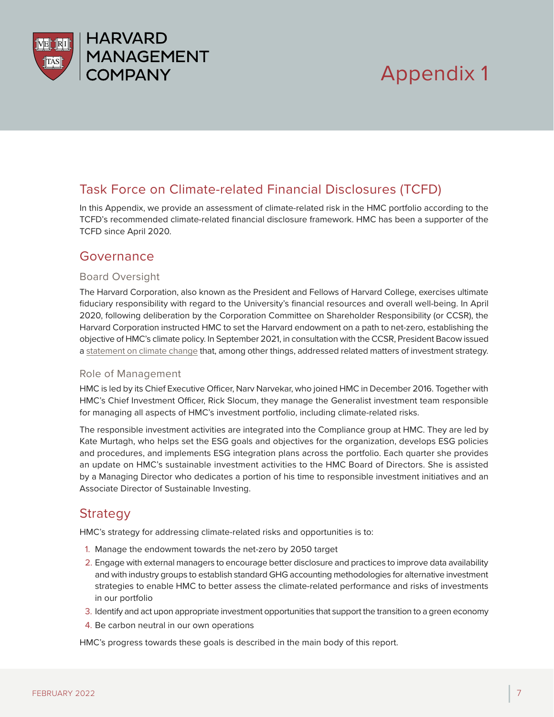

# Appendix 1

# Task Force on Climate-related Financial Disclosures (TCFD)

In this Appendix, we provide an assessment of climate-related risk in the HMC portfolio according to the TCFD's recommended climate-related financial disclosure framework. HMC has been a supporter of the TCFD since April 2020.

## Governance

## Board Oversight

The Harvard Corporation, also known as the President and Fellows of Harvard College, exercises ultimate fiduciary responsibility with regard to the University's financial resources and overall well-being. In April 2020, following deliberation by the Corporation Committee on Shareholder Responsibility (or CCSR), the Harvard Corporation instructed HMC to set the Harvard endowment on a path to net-zero, establishing the objective of HMC's climate policy. In September 2021, in consultation with the CCSR, President Bacow issued a [statement on climate change](https://www.harvard.edu/president/news/2021/climate-change-update-on-harvard-action/) that, among other things, addressed related matters of investment strategy.

## Role of Management

HMC is led by its Chief Executive Officer, Narv Narvekar, who joined HMC in December 2016. Together with HMC's Chief Investment Officer, Rick Slocum, they manage the Generalist investment team responsible for managing all aspects of HMC's investment portfolio, including climate-related risks.

The responsible investment activities are integrated into the Compliance group at HMC. They are led by Kate Murtagh, who helps set the ESG goals and objectives for the organization, develops ESG policies and procedures, and implements ESG integration plans across the portfolio. Each quarter she provides an update on HMC's sustainable investment activities to the HMC Board of Directors. She is assisted by a Managing Director who dedicates a portion of his time to responsible investment initiatives and an Associate Director of Sustainable Investing.

# **Strategy**

HMC's strategy for addressing climate-related risks and opportunities is to:

- 1. Manage the endowment towards the net-zero by 2050 target
- 2. Engage with external managers to encourage better disclosure and practices to improve data availability and with industry groups to establish standard GHG accounting methodologies for alternative investment strategies to enable HMC to better assess the climate-related performance and risks of investments in our portfolio
- 3. Identify and act upon appropriate investment opportunities that support the transition to a green economy
- 4. Be carbon neutral in our own operations

HMC's progress towards these goals is described in the main body of this report.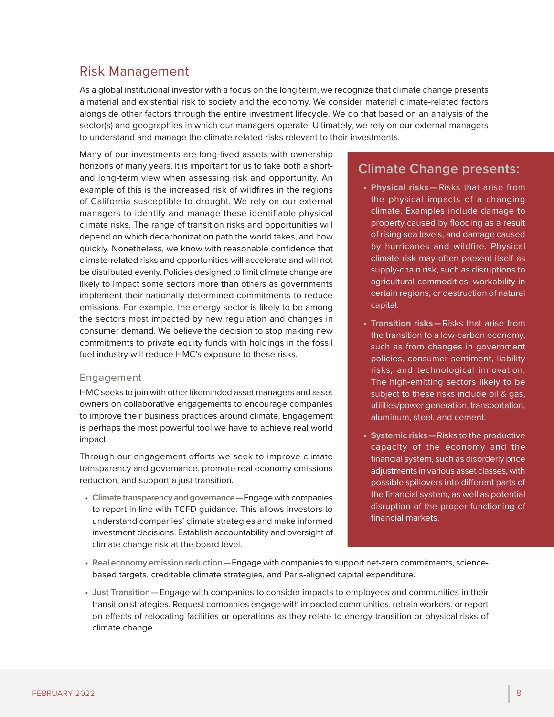# Risk Management

As a global institutional investor with a focus on the long term, we recognize that climate change presents a material and existential risk to society and the economy. We consider material climate-related factors alongside other factors through the entire investment lifecycle. We do that based on an analysis of the sector(s) and geographies in which our managers operate. Ultimately, we rely on our external managers to understand and manage the climate-related risks relevant to their investments.

Many of our investments are long-lived assets with ownership horizons of many years. It is important for us to take both a shortand long-term view when assessing risk and opportunity. An example of this is the increased risk of wildfires in the regions of California susceptible to drought. We rely on our external managers to identify and manage these identifiable physical climate risks. The range of transition risks and opportunities will depend on which decarbonization path the world takes, and how quickly. Nonetheless, we know with reasonable confidence that climate-related risks and opportunities will accelerate and will not be distributed evenly. Policies designed to limit climate change are likely to impact some sectors more than others as governments implement their nationally determined commitments to reduce emissions. For example, the energy sector is likely to be among the sectors most impacted by new regulation and changes in consumer demand. We believe the decision to stop making new commitments to private equity funds with holdings in the fossil fuel industry will reduce HMC's exposure to these risks.

## Engagement

HMC seeks to join with other likeminded asset managers and asset owners on collaborative engagements to encourage companies to improve their business practices around climate. Engagement is perhaps the most powerful tool we have to achieve real world impact.

Through our engagement efforts we seek to improve climate transparency and governance, promote real economy emissions reduction, and support a just transition.

• **Climate transparency and governance —**Engage with companies to report in line with TCFD guidance. This allows investors to understand companies' climate strategies and make informed investment decisions. Establish accountability and oversight of climate change risk at the board level.

# **Climate Change presents:**

- **Physical risks —**Risks that arise from the physical impacts of a changing climate. Examples include damage to property caused by flooding as a result of rising sea levels, and damage caused by hurricanes and wildfire. Physical climate risk may often present itself as supply-chain risk, such as disruptions to agricultural commodities, workability in certain regions, or destruction of natural capital.
- **Transition risks—**Risks that arise from the transition to a low-carbon economy, such as from changes in government policies, consumer sentiment, liability risks, and technological innovation. The high-emitting sectors likely to be subject to these risks include oil & gas, utilities/power generation, transportation, aluminum, steel, and cement.
- **Systemic risks—**Risks to the productive capacity of the economy and the financial system, such as disorderly price adiustments in various asset classes, with possible spillovers into different parts of the financial system, as well as potential disruption of the proper functioning of financial markets.
- **Real economy emission reduction —**Engage with companies to support net-zero commitments, sciencebased targets, creditable climate strategies, and Paris-aligned capital expenditure.
- **Just Transition —**Engage with companies to consider impacts to employees and communities in their transition strategies. Request companies engage with impacted communities, retrain workers, or report on effects of relocating facilities or operations as they relate to energy transition or physical risks of climate change.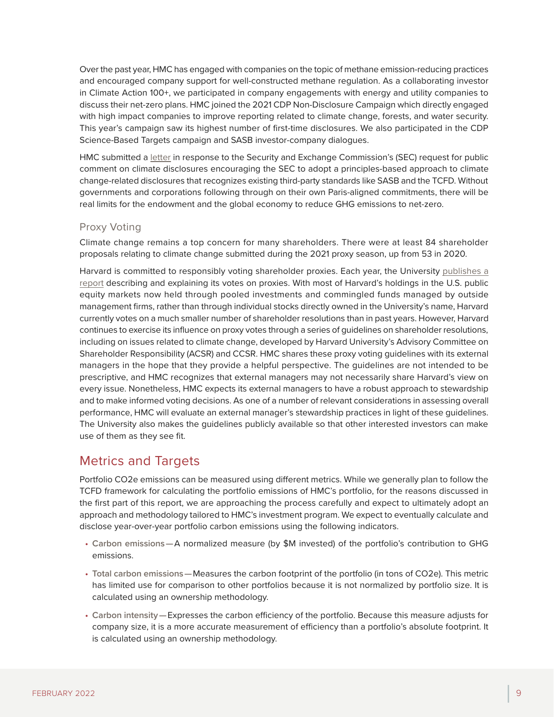Over the past year, HMC has engaged with companies on the topic of methane emission-reducing practices and encouraged company support for well-constructed methane regulation. As a collaborating investor in Climate Action 100+, we participated in company engagements with energy and utility companies to discuss their net-zero plans. HMC joined the 2021 CDP Non-Disclosure Campaign which directly engaged with high impact companies to improve reporting related to climate change, forests, and water security. This year's campaign saw its highest number of first-time disclosures. We also participated in the CDP Science-Based Targets campaign and SASB investor-company dialogues.

HMC submitted a [letter](https://www.sec.gov/comments/climate-disclosure/cll12-8906917-244223.pdf) in response to the Security and Exchange Commission's (SEC) request for public comment on climate disclosures encouraging the SEC to adopt a principles-based approach to climate change-related disclosures that recognizes existing third-party standards like SASB and the TCFD. Without governments and corporations following through on their own Paris-aligned commitments, there will be real limits for the endowment and the global economy to reduce GHG emissions to net-zero.

## Proxy Voting

Climate change remains a top concern for many shareholders. There were at least 84 shareholder proposals relating to climate change submitted during the 2021 proxy season, up from 53 in 2020.

Harvard is committed to responsibly voting shareholder proxies. Each year, the University [publishes a](https://www.harvard.edu/shareholder-responsibility-committees) [report](https://www.harvard.edu/shareholder-responsibility-committees) describing and explaining its votes on proxies. With most of Harvard's holdings in the U.S. public equity markets now held through pooled investments and commingled funds managed by outside management firms, rather than through individual stocks directly owned in the University's name, Harvard currently votes on a much smaller number of shareholder resolutions than in past years. However, Harvard continues to exercise its influence on proxy votes through a series of guidelines on shareholder resolutions, including on issues related to climate change, developed by Harvard University's Advisory Committee on Shareholder Responsibility (ACSR) and CCSR. HMC shares these proxy voting guidelines with its external managers in the hope that they provide a helpful perspective. The guidelines are not intended to be prescriptive, and HMC recognizes that external managers may not necessarily share Harvard's view on every issue. Nonetheless, HMC expects its external managers to have a robust approach to stewardship and to make informed voting decisions. As one of a number of relevant considerations in assessing overall performance, HMC will evaluate an external manager's stewardship practices in light of these guidelines. The University also makes the guidelines publicly available so that other interested investors can make use of them as they see fit.

## Metrics and Targets

Portfolio CO2e emissions can be measured using different metrics. While we generally plan to follow the TCFD framework for calculating the portfolio emissions of HMC's portfolio, for the reasons discussed in the first part of this report, we are approaching the process carefully and expect to ultimately adopt an approach and methodology tailored to HMC's investment program. We expect to eventually calculate and disclose year-over-year portfolio carbon emissions using the following indicators.

- **Carbon emissions —**A normalized measure (by \$M invested) of the portfolio's contribution to GHG emissions.
- **Total carbon emissions —**Measures the carbon footprint of the portfolio (in tons of CO2e). This metric has limited use for comparison to other portfolios because it is not normalized by portfolio size. It is calculated using an ownership methodology.
- **Carbon intensity —**Expresses the carbon efficiency of the portfolio. Because this measure adjusts for company size, it is a more accurate measurement of efficiency than a portfolio's absolute footprint. It is calculated using an ownership methodology.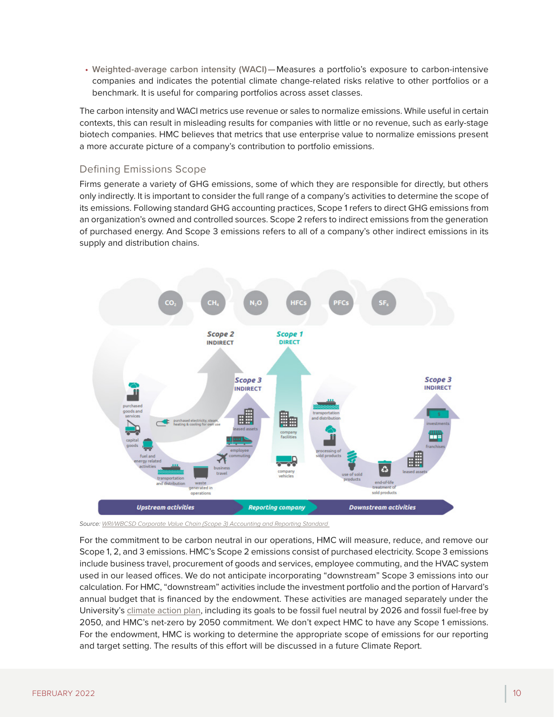• **Weighted-average carbon intensity (WACI) —**Measures a portfolio's exposure to carbon-intensive companies and indicates the potential climate change-related risks relative to other portfolios or a benchmark. It is useful for comparing portfolios across asset classes.

The carbon intensity and WACI metrics use revenue or sales to normalize emissions. While useful in certain contexts, this can result in misleading results for companies with little or no revenue, such as early-stage biotech companies. HMC believes that metrics that use enterprise value to normalize emissions present a more accurate picture of a company's contribution to portfolio emissions.

## Defining Emissions Scope

Firms generate a variety of GHG emissions, some of which they are responsible for directly, but others only indirectly. It is important to consider the full range of a company's activities to determine the scope of its emissions. Following standard GHG accounting practices, Scope 1 refers to direct GHG emissions from an organization's owned and controlled sources. Scope 2 refers to indirect emissions from the generation of purchased energy. And Scope 3 emissions refers to all of a company's other indirect emissions in its supply and distribution chains.



*Source: [WRI/WBCSD Corporate Value Chain \(Scope 3\) Accounting and Reporting Standard](https://ghgprotocol.org/sites/default/files/standards/Corporate-Value-Chain-Accounting-Reporing-Standard_041613_2.pdf)* 

For the commitment to be carbon neutral in our operations, HMC will measure, reduce, and remove our Scope 1, 2, and 3 emissions. HMC's Scope 2 emissions consist of purchased electricity. Scope 3 emissions include business travel, procurement of goods and services, employee commuting, and the HVAC system used in our leased offices. We do not anticipate incorporating "downstream" Scope 3 emissions into our calculation. For HMC, "downstream" activities include the investment portfolio and the portion of Harvard's annual budget that is financed by the endowment. These activities are managed separately under the University's [climate action plan,](https://green.harvard.edu/campaign/harvards-climate-action-plan) including its goals to be fossil fuel neutral by 2026 and fossil fuel-free by 2050, and HMC's net-zero by 2050 commitment. We don't expect HMC to have any Scope 1 emissions. For the endowment, HMC is working to determine the appropriate scope of emissions for our reporting and target setting. The results of this effort will be discussed in a future Climate Report.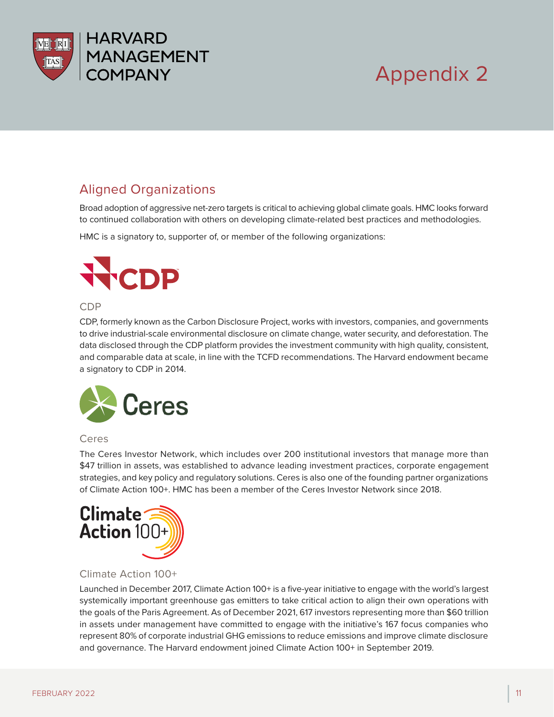

# Appendix 2

# Aligned Organizations

Broad adoption of aggressive net-zero targets is critical to achieving global climate goals. HMC looks forward to continued collaboration with others on developing climate-related best practices and methodologies.

HMC is a signatory to, supporter of, or member of the following organizations:



#### CDP

CDP, formerly known as the Carbon Disclosure Project, works with investors, companies, and governments to drive industrial-scale environmental disclosure on climate change, water security, and deforestation. The data disclosed through the CDP platform provides the investment community with high quality, consistent, and comparable data at scale, in line with the TCFD recommendations. The Harvard endowment became a signatory to CDP in 2014.



## Ceres

The Ceres Investor Network, which includes over 200 institutional investors that manage more than \$47 trillion in assets, was established to advance leading investment practices, corporate engagement strategies, and key policy and regulatory solutions. Ceres is also one of the founding partner organizations of Climate Action 100+. HMC has been a member of the Ceres Investor Network since 2018.



## Climate Action 100+

Launched in December 2017, Climate Action 100+ is a five-year initiative to engage with the world's largest systemically important greenhouse gas emitters to take critical action to align their own operations with the goals of the Paris Agreement. As of December 2021, 617 investors representing more than \$60 trillion in assets under management have committed to engage with the initiative's 167 focus companies who represent 80% of corporate industrial GHG emissions to reduce emissions and improve climate disclosure and governance. The Harvard endowment joined Climate Action 100+ in September 2019.